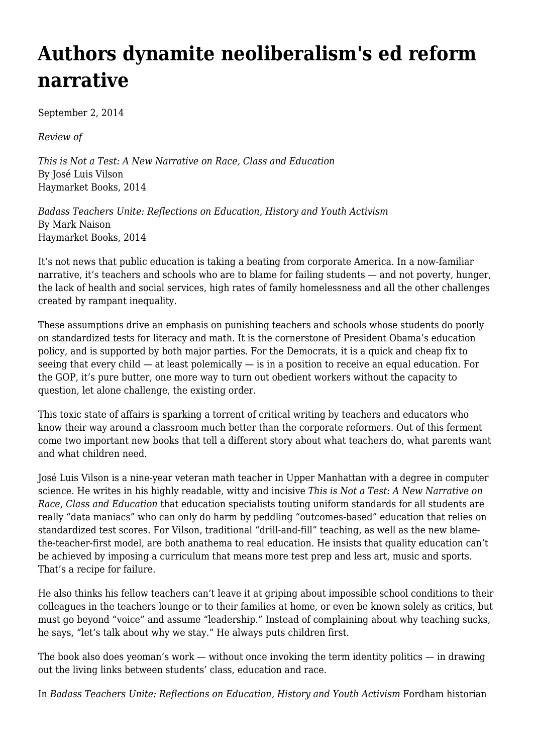## **[Authors dynamite neoliberalism's ed reform](https://newpol.org/authors-dynamite-neoliberalisms-ed-reform-narrative/) [narrative](https://newpol.org/authors-dynamite-neoliberalisms-ed-reform-narrative/)**

September 2, 2014

*Review of*

*This is Not a Test: A New Narrative on Race, Class and Education* By José Luis Vilson Haymarket Books, 2014

*Badass Teachers Unite: Reflections on Education, History and Youth Activism* By Mark Naison Haymarket Books, 2014

It's not news that public education is taking a beating from corporate America. In a now-familiar narrative, it's teachers and schools who are to blame for failing students — and not poverty, hunger, the lack of health and social services, high rates of family homelessness and all the other challenges created by rampant inequality.

These assumptions drive an emphasis on punishing teachers and schools whose students do poorly on standardized tests for literacy and math. It is the cornerstone of President Obama's education policy, and is supported by both major parties. For the Democrats, it is a quick and cheap fix to seeing that every child — at least polemically — is in a position to receive an equal education. For the GOP, it's pure butter, one more way to turn out obedient workers without the capacity to question, let alone challenge, the existing order.

This toxic state of affairs is sparking a torrent of critical writing by teachers and educators who know their way around a classroom much better than the corporate reformers. Out of this ferment come two important new books that tell a different story about what teachers do, what parents want and what children need.

José Luis Vilson is a nine-year veteran math teacher in Upper Manhattan with a degree in computer science. He writes in his highly readable, witty and incisive *This is Not a Test: A New Narrative on Race, Class and Education* that education specialists touting uniform standards for all students are really "data maniacs" who can only do harm by peddling "outcomes-based" education that relies on standardized test scores. For Vilson, traditional "drill-and-fill" teaching, as well as the new blamethe-teacher-first model, are both anathema to real education. He insists that quality education can't be achieved by imposing a curriculum that means more test prep and less art, music and sports. That's a recipe for failure.

He also thinks his fellow teachers can't leave it at griping about impossible school conditions to their colleagues in the teachers lounge or to their families at home, or even be known solely as critics, but must go beyond "voice" and assume "leadership." Instead of complaining about why teaching sucks, he says, "let's talk about why we stay." He always puts children first.

The book also does yeoman's work — without once invoking the term identity politics — in drawing out the living links between students' class, education and race.

In *Badass Teachers Unite: Reflections on Education, History and Youth Activism* Fordham historian